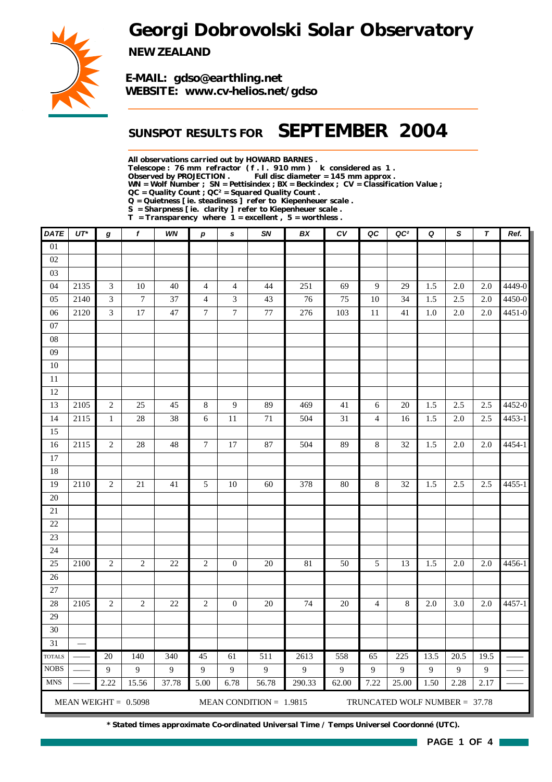*Georgi Dobrovolski Solar Observatory*



*NEW ZEALAND*

*E-MAIL: gdso@earthling.net WEBSITE: www.cv-helios.net/gdso*

### *SUNSPOT RESULTS FOR SEPTEMBER 2004*

*All observations carried out by HOWARD BARNES .*

*Telescope : 76 mm refractor ( f . l . 910 mm ) k considered as 1 .*

Full disc diameter = 145 mm approx .

*WN = Wolf Number ; SN = Pettisindex ; BX = Beckindex ; CV = Classification Value ;*

*QC = Quality Count ; QC² = Squared Quality Count .*

*Q = Quietness [ ie. steadiness ] refer to Kiepenheuer scale .*

*S = Sharpness [ ie. clarity ] refer to Kiepenheuer scale . T = Transparency where 1 = excellent , 5 = worthless .*

| DATE                         | $UT^*$        | g              | f                      | WN         | $\boldsymbol{p}$ | $\mathbf{s}$           | SN                        | BX          | c v                     | QC               | QC <sup>2</sup>                 | Q         | S                      | $\boldsymbol{\tau}$  | Ref.   |
|------------------------------|---------------|----------------|------------------------|------------|------------------|------------------------|---------------------------|-------------|-------------------------|------------------|---------------------------------|-----------|------------------------|----------------------|--------|
| $\overline{01}$              |               |                |                        |            |                  |                        |                           |             |                         |                  |                                 |           |                        |                      |        |
| 02                           |               |                |                        |            |                  |                        |                           |             |                         |                  |                                 |           |                        |                      |        |
| 03                           |               |                |                        |            |                  |                        |                           |             |                         |                  |                                 |           |                        |                      |        |
| 04                           | 2135          | $\mathfrak{Z}$ | 10                     | $40\,$     | $\overline{4}$   | $\overline{4}$         | 44                        | 251         | 69                      | $\boldsymbol{9}$ | 29                              | 1.5       | $2.0\,$                | 2.0                  | 4449-0 |
| 05                           | 2140          | $\mathfrak{Z}$ | $\boldsymbol{7}$       | 37         | $\overline{4}$   | 3                      | 43                        | 76          | 75                      | 10               | 34                              | 1.5       | 2.5                    | 2.0                  | 4450-0 |
| 06                           | 2120          | 3              | $\overline{17}$        | 47         | $\boldsymbol{7}$ | $\boldsymbol{7}$       | 77                        | 276         | 103                     | 11               | 41                              | 1.0       | 2.0                    | 2.0                  | 4451-0 |
| 07                           |               |                |                        |            |                  |                        |                           |             |                         |                  |                                 |           |                        |                      |        |
| ${\bf 08}$                   |               |                |                        |            |                  |                        |                           |             |                         |                  |                                 |           |                        |                      |        |
| 09                           |               |                |                        |            |                  |                        |                           |             |                         |                  |                                 |           |                        |                      |        |
| $10\,$                       |               |                |                        |            |                  |                        |                           |             |                         |                  |                                 |           |                        |                      |        |
| 11                           |               |                |                        |            |                  |                        |                           |             |                         |                  |                                 |           |                        |                      |        |
| 12                           |               |                |                        |            |                  |                        |                           |             |                         |                  |                                 |           |                        |                      |        |
| 13                           | 2105          | $\sqrt{2}$     | 25                     | 45         | $8\,$            | 9                      | 89                        | 469         | 41                      | 6                | 20                              | 1.5       | 2.5                    | 2.5                  | 4452-0 |
| 14                           | 2115          | $\mathbf 1$    | 28                     | 38         | 6                | 11                     | $71\,$                    | 504         | 31                      | $\overline{4}$   | 16                              | 1.5       | $2.0\,$                | 2.5                  | 4453-1 |
| 15                           |               |                |                        |            |                  |                        |                           |             |                         |                  |                                 |           |                        |                      |        |
| 16                           | 2115          | $\overline{2}$ | 28                     | 48         | $\overline{7}$   | $\overline{17}$        | 87                        | 504         | 89                      | $\overline{8}$   | 32                              | 1.5       | $2.0\,$                | $2.0\,$              | 4454-1 |
| 17                           |               |                |                        |            |                  |                        |                           |             |                         |                  |                                 |           |                        |                      |        |
| 18                           |               |                |                        |            |                  |                        |                           |             |                         |                  |                                 |           |                        |                      |        |
| 19                           | 2110          | $\overline{c}$ | 21                     | 41         | 5                | 10                     | 60                        | 378         | 80                      | 8                | 32                              | 1.5       | 2.5                    | 2.5                  | 4455-1 |
| 20                           |               |                |                        |            |                  |                        |                           |             |                         |                  |                                 |           |                        |                      |        |
| 21                           |               |                |                        |            |                  |                        |                           |             |                         |                  |                                 |           |                        |                      |        |
| 22                           |               |                |                        |            |                  |                        |                           |             |                         |                  |                                 |           |                        |                      |        |
| 23                           |               |                |                        |            |                  |                        |                           |             |                         |                  |                                 |           |                        |                      |        |
| 24                           |               |                |                        |            |                  |                        |                           |             |                         |                  |                                 |           |                        |                      |        |
| 25                           | 2100          | $\mathbf{2}$   | $\overline{c}$         | 22         | $\mathfrak{2}$   | $\mathbf{0}$           | 20                        | 81          | 50                      | 5                | 13                              | 1.5       | 2.0                    | 2.0                  | 4456-1 |
| 26                           |               |                |                        |            |                  |                        |                           |             |                         |                  |                                 |           |                        |                      |        |
| 27                           |               |                |                        |            |                  |                        |                           |             |                         |                  |                                 |           |                        |                      |        |
| 28                           | 2105          | $\sqrt{2}$     | $\overline{c}$         | 22         | $\overline{c}$   | $\boldsymbol{0}$       | $20\,$                    | 74          | $20\,$                  | $\overline{4}$   | $\,8\,$                         | 2.0       | 3.0                    | 2.0                  | 4457-1 |
| 29                           |               |                |                        |            |                  |                        |                           |             |                         |                  |                                 |           |                        |                      |        |
| 30                           |               |                |                        |            |                  |                        |                           |             |                         |                  |                                 |           |                        |                      |        |
| 31                           | $\frac{1}{2}$ |                |                        |            |                  |                        |                           |             |                         |                  |                                 |           |                        |                      |        |
| <b>TOTALS</b><br><b>NOBS</b> |               | 20             | 140                    | 340        | $\overline{45}$  | 61                     | 511                       | 2613        | 558                     | 65               | 225                             | 13.5      | $\overline{20.5}$      | 19.5                 |        |
| <b>MNS</b>                   |               | 9<br>2.22      | 9<br>15.56             | 9<br>37.78 | $\overline{9}$   | $\overline{9}$<br>6.78 | 9<br>56.78                | 9<br>290.33 | $\overline{9}$<br>62.00 | 9<br>7.22        | 9                               | 9<br>1.50 | $\overline{9}$<br>2.28 | $\mathbf{9}$<br>2.17 |        |
|                              |               |                |                        |            | 5.00             |                        |                           |             |                         |                  | 25.00                           |           |                        |                      |        |
|                              |               |                | MEAN WEIGHT = $0.5098$ |            |                  |                        | MEAN CONDITION = $1.9815$ |             |                         |                  | TRUNCATED WOLF NUMBER = $37.78$ |           |                        |                      |        |

*\* Stated times approximate Co-ordinated Universal Time / Temps Universel Coordonné (UTC).*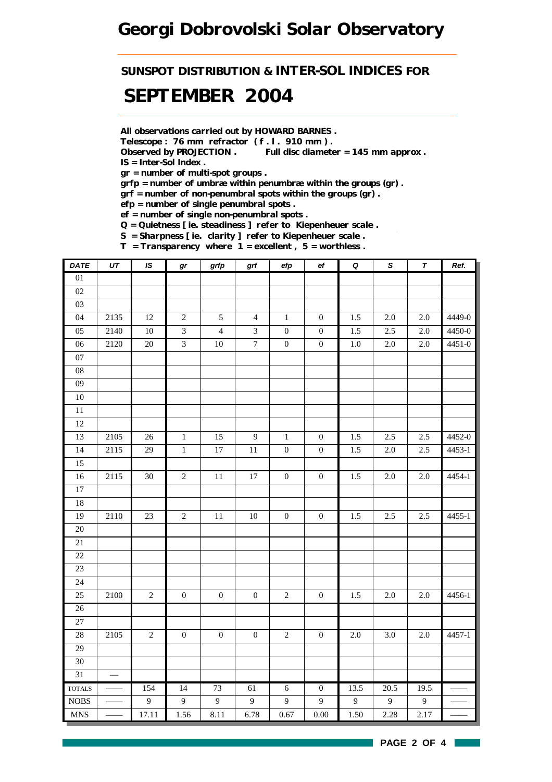## *Georgi Dobrovolski Solar Observatory*

*SUNSPOT DISTRIBUTION & INTER-SOL INDICES FOR*

## *SEPTEMBER 2004*

*All observations carried out by HOWARD BARNES .*

*Telescope : 76 mm refractor ( f . l . 910 mm ) .*

*Observed by PROJECTION . Full disc diameter = 145 mm approx . IS = Inter-Sol Index .*

*gr = number of multi-spot groups .*

*grfp = number of umbræ within penumbræ within the groups (gr) .*

*grf = number of non-penumbral spots within the groups (gr) .*

*efp = number of single penumbral spots .*

*ef = number of single non-penumbral spots .*

*Q = Quietness [ ie. steadiness ] refer to Kiepenheuer scale .*

*S = Sharpness [ ie. clarity ] refer to Kiepenheuer scale .*

*T = Transparency where 1 = excellent , 5 = worthless .*

| DATE            | $U\mathcal{T}$ | IS             | gr               | grfp             | grf                         | efp              | $\mathsf{e} \mathsf{f}$ | $\pmb Q$ | $\pmb{\mathsf{s}}$ | T              | Ref.   |
|-----------------|----------------|----------------|------------------|------------------|-----------------------------|------------------|-------------------------|----------|--------------------|----------------|--------|
| 01              |                |                |                  |                  |                             |                  |                         |          |                    |                |        |
| $02\,$          |                |                |                  |                  |                             |                  |                         |          |                    |                |        |
| 03              |                |                |                  |                  |                             |                  |                         |          |                    |                |        |
| 04              | 2135           | 12             | $\sqrt{2}$       | $\sqrt{5}$       | $\overline{4}$              | $\,1$            | $\mathbf{0}$            | $1.5\,$  | 2.0                | 2.0            | 4449-0 |
| 05              | 2140           | $10\,$         | $\overline{3}$   | $\overline{4}$   | $\ensuremath{\mathfrak{Z}}$ | $\boldsymbol{0}$ | $\boldsymbol{0}$        | 1.5      | 2.5                | $2.0\,$        | 4450-0 |
| $06\,$          | 2120           | $20\,$         | $\overline{3}$   | $10\,$           | $\boldsymbol{7}$            | $\boldsymbol{0}$ | $\boldsymbol{0}$        | $1.0\,$  | 2.0                | 2.0            | 4451-0 |
| 07              |                |                |                  |                  |                             |                  |                         |          |                    |                |        |
| ${\bf 08}$      |                |                |                  |                  |                             |                  |                         |          |                    |                |        |
| 09              |                |                |                  |                  |                             |                  |                         |          |                    |                |        |
| $10\,$          |                |                |                  |                  |                             |                  |                         |          |                    |                |        |
| $11\,$          |                |                |                  |                  |                             |                  |                         |          |                    |                |        |
| 12              |                |                |                  |                  |                             |                  |                         |          |                    |                |        |
| 13              | 2105           | $26\,$         | $\mathbf 1$      | 15               | $\overline{9}$              | $\mathbf{1}$     | $\boldsymbol{0}$        | 1.5      | 2.5                | 2.5            | 4452-0 |
| 14              | 2115           | 29             | $\,1\,$          | $17\,$           | 11                          | $\boldsymbol{0}$ | $\boldsymbol{0}$        | 1.5      | 2.0                | 2.5            | 4453-1 |
| 15              |                |                |                  |                  |                             |                  |                         |          |                    |                |        |
| 16              | 2115           | 30             | $\sqrt{2}$       | 11               | $17\,$                      | $\boldsymbol{0}$ | $\boldsymbol{0}$        | 1.5      | $2.0\,$            | $2.0\,$        | 4454-1 |
| $\overline{17}$ |                |                |                  |                  |                             |                  |                         |          |                    |                |        |
| 18              |                |                |                  |                  |                             |                  |                         |          |                    |                |        |
| 19              | 2110           | $23\,$         | $\sqrt{2}$       | $11\,$           | $10\,$                      | $\boldsymbol{0}$ | $\boldsymbol{0}$        | 1.5      | 2.5                | 2.5            | 4455-1 |
| $\overline{20}$ |                |                |                  |                  |                             |                  |                         |          |                    |                |        |
| $21\,$          |                |                |                  |                  |                             |                  |                         |          |                    |                |        |
| 22              |                |                |                  |                  |                             |                  |                         |          |                    |                |        |
| 23              |                |                |                  |                  |                             |                  |                         |          |                    |                |        |
| 24              |                |                |                  |                  |                             |                  |                         |          |                    |                |        |
| 25              | 2100           | $\sqrt{2}$     | $\boldsymbol{0}$ | $\boldsymbol{0}$ | $\boldsymbol{0}$            | $\sqrt{2}$       | $\boldsymbol{0}$        | 1.5      | $2.0\,$            | $2.0\,$        | 4456-1 |
| 26              |                |                |                  |                  |                             |                  |                         |          |                    |                |        |
| 27              |                |                |                  |                  |                             |                  |                         |          |                    |                |        |
| 28              | 2105           | $\sqrt{2}$     | $\boldsymbol{0}$ | $\boldsymbol{0}$ | $\boldsymbol{0}$            | $\sqrt{2}$       | $\boldsymbol{0}$        | $2.0\,$  | 3.0                | $2.0\,$        | 4457-1 |
| $\overline{29}$ |                |                |                  |                  |                             |                  |                         |          |                    |                |        |
| 30              |                |                |                  |                  |                             |                  |                         |          |                    |                |        |
| 31              | $\frac{1}{1}$  |                |                  |                  |                             |                  |                         |          |                    |                |        |
| <b>TOTALS</b>   |                | 154            | 14               | 73               | 61                          | $\overline{6}$   | $\overline{0}$          | 13.5     | 20.5               | 19.5           |        |
| <b>NOBS</b>     |                | $\overline{9}$ | 9                | $\overline{9}$   | $\overline{9}$              | $\boldsymbol{9}$ | 9                       | 9        | $\overline{9}$     | $\overline{9}$ |        |
| <b>MNS</b>      |                | 17.11          | 1.56             | 8.11             | 6.78                        | 0.67             | $0.00\,$                | 1.50     | 2.28               | 2.17           |        |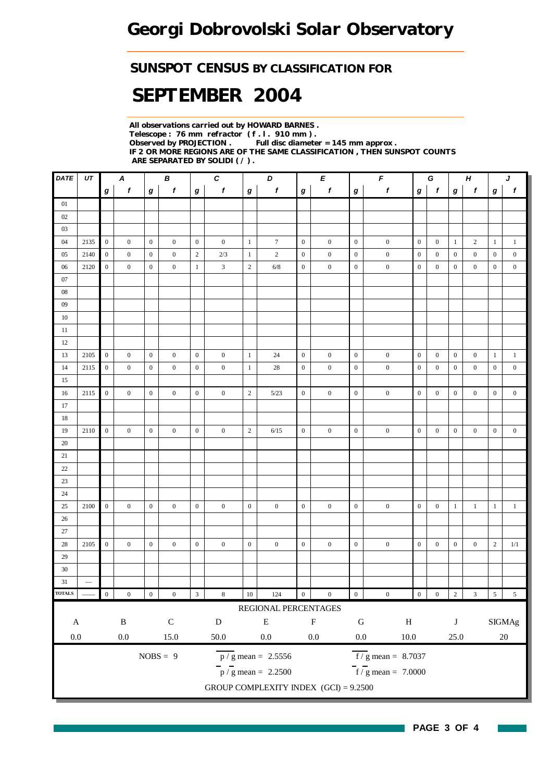#### *SUNSPOT CENSUS BY CLASSIFICATION FOR*

# *SEPTEMBER 2004*

*All observations carried out by HOWARD BARNES . Telescope : 76 mm refractor ( f . l . 910 mm ) . Full disc diameter = 145 mm approx . IF 2 OR MORE REGIONS ARE OF THE SAME CLASSIFICATION , THEN SUNSPOT COUNTS ARE SEPARATED BY SOLIDI ( / ) .*

| $\mathit{DATE}$ | UT              |                  | $\boldsymbol{A}$ |                  | $\pmb B$         |                  | $\pmb{C}$        |                  | $\boldsymbol{D}$                          |                  | E                         |                  | $\pmb{\digamma}$<br>G           |                  |                  |                  | $\pmb H$<br>J               |                  |                  |
|-----------------|-----------------|------------------|------------------|------------------|------------------|------------------|------------------|------------------|-------------------------------------------|------------------|---------------------------|------------------|---------------------------------|------------------|------------------|------------------|-----------------------------|------------------|------------------|
|                 |                 | $\bm{g}$         | $\boldsymbol{f}$ | $\boldsymbol{g}$ | $\boldsymbol{f}$ | $\bm{g}$         | $\boldsymbol{f}$ | $\bm{g}$         | $\boldsymbol{f}$                          | $\boldsymbol{g}$ | f                         | $\boldsymbol{g}$ | $\pmb{f}$                       | $\bm{g}$         | $\mathbf{f}$     | $\bm{g}$         | $\pmb{f}$                   | $\boldsymbol{g}$ | $\mathbf{f}$     |
| $01\,$          |                 |                  |                  |                  |                  |                  |                  |                  |                                           |                  |                           |                  |                                 |                  |                  |                  |                             |                  |                  |
| 02              |                 |                  |                  |                  |                  |                  |                  |                  |                                           |                  |                           |                  |                                 |                  |                  |                  |                             |                  |                  |
| 03              |                 |                  |                  |                  |                  |                  |                  |                  |                                           |                  |                           |                  |                                 |                  |                  |                  |                             |                  |                  |
| 04              | 2135            | $\mathbf{0}$     | $\boldsymbol{0}$ | $\mathbf{0}$     | $\overline{0}$   | $\mathbf{0}$     | $\boldsymbol{0}$ | $\mathbf{1}$     | $\tau$                                    | $\overline{0}$   | $\boldsymbol{0}$          | $\boldsymbol{0}$ | $\boldsymbol{0}$                | $\boldsymbol{0}$ | $\overline{0}$   | $\mathbf{1}$     | $\overline{c}$              | $\mathbf{1}$     | -1               |
| 05              | 2140            | $\boldsymbol{0}$ | $\boldsymbol{0}$ | $\boldsymbol{0}$ | $\mathbf{0}$     | $\sqrt{2}$       | 2/3              | $\mathbf{1}$     | $\sqrt{2}$                                | $\mathbf{0}$     | $\boldsymbol{0}$          | $\boldsymbol{0}$ | $\boldsymbol{0}$                | $\boldsymbol{0}$ | $\boldsymbol{0}$ | $\boldsymbol{0}$ | $\boldsymbol{0}$            | $\boldsymbol{0}$ | $\boldsymbol{0}$ |
| 06              | 2120            | $\mathbf{0}$     | $\overline{0}$   | $\boldsymbol{0}$ | $\overline{0}$   | $\mathbf{1}$     | $\mathfrak{Z}$   | $\mathbf{2}$     | 6/8                                       | $\boldsymbol{0}$ | $\boldsymbol{0}$          | $\mathbf{0}$     | $\boldsymbol{0}$                | $\boldsymbol{0}$ | $\mathbf{0}$     | $\boldsymbol{0}$ | $\overline{0}$              | $\boldsymbol{0}$ | $\boldsymbol{0}$ |
| 07              |                 |                  |                  |                  |                  |                  |                  |                  |                                           |                  |                           |                  |                                 |                  |                  |                  |                             |                  |                  |
| ${\bf 08}$      |                 |                  |                  |                  |                  |                  |                  |                  |                                           |                  |                           |                  |                                 |                  |                  |                  |                             |                  |                  |
| 09              |                 |                  |                  |                  |                  |                  |                  |                  |                                           |                  |                           |                  |                                 |                  |                  |                  |                             |                  |                  |
| 10              |                 |                  |                  |                  |                  |                  |                  |                  |                                           |                  |                           |                  |                                 |                  |                  |                  |                             |                  |                  |
| 11              |                 |                  |                  |                  |                  |                  |                  |                  |                                           |                  |                           |                  |                                 |                  |                  |                  |                             |                  |                  |
| 12              |                 |                  |                  |                  |                  |                  |                  |                  |                                           |                  |                           |                  |                                 |                  |                  |                  |                             |                  |                  |
| 13              | 2105            | $\overline{0}$   | $\mathbf{0}$     | $\overline{0}$   | $\mathbf{0}$     | $\boldsymbol{0}$ | $\boldsymbol{0}$ | $\mathbf{1}$     | 24                                        | $\overline{0}$   | $\boldsymbol{0}$          | $\boldsymbol{0}$ | $\boldsymbol{0}$                | $\boldsymbol{0}$ | $\overline{0}$   | $\boldsymbol{0}$ | $\boldsymbol{0}$            | $\mathbf{1}$     | $\mathbf{1}$     |
| 14              | 2115            | $\mathbf{0}$     | $\mathbf{0}$     | $\boldsymbol{0}$ | $\overline{0}$   | $\boldsymbol{0}$ | $\overline{0}$   | $\mathbf{1}$     | 28                                        | $\boldsymbol{0}$ | $\boldsymbol{0}$          | $\boldsymbol{0}$ | $\boldsymbol{0}$                | $\boldsymbol{0}$ | $\mathbf{0}$     | $\boldsymbol{0}$ | $\boldsymbol{0}$            | $\mathbf{0}$     | $\boldsymbol{0}$ |
| 15              |                 |                  |                  |                  |                  |                  |                  |                  |                                           |                  |                           |                  |                                 |                  |                  |                  |                             |                  |                  |
| 16              | 2115            | $\overline{0}$   | $\mathbf{0}$     | $\mathbf{0}$     | $\overline{0}$   | $\boldsymbol{0}$ | $\mathbf{0}$     | $\mathbf{2}$     | 5/23                                      | $\overline{0}$   | $\boldsymbol{0}$          | $\boldsymbol{0}$ | $\boldsymbol{0}$                | $\overline{0}$   | $\mathbf{0}$     | $\mathbf{0}$     | $\boldsymbol{0}$            | $\mathbf{0}$     | $\boldsymbol{0}$ |
| 17              |                 |                  |                  |                  |                  |                  |                  |                  |                                           |                  |                           |                  |                                 |                  |                  |                  |                             |                  |                  |
| 18              |                 |                  |                  |                  |                  |                  |                  |                  |                                           |                  |                           |                  |                                 |                  |                  |                  |                             |                  |                  |
| 19              | 2110            | $\mathbf{0}$     | $\overline{0}$   | $\mathbf{0}$     | $\mathbf{0}$     | $\boldsymbol{0}$ | $\boldsymbol{0}$ | $\sqrt{2}$       | 6/15                                      | $\overline{0}$   | $\mathbf{0}$              | $\boldsymbol{0}$ | $\boldsymbol{0}$                | $\boldsymbol{0}$ | $\overline{0}$   | $\boldsymbol{0}$ | $\boldsymbol{0}$            | $\mathbf{0}$     | $\boldsymbol{0}$ |
| 20              |                 |                  |                  |                  |                  |                  |                  |                  |                                           |                  |                           |                  |                                 |                  |                  |                  |                             |                  |                  |
| 21              |                 |                  |                  |                  |                  |                  |                  |                  |                                           |                  |                           |                  |                                 |                  |                  |                  |                             |                  |                  |
| $22\,$          |                 |                  |                  |                  |                  |                  |                  |                  |                                           |                  |                           |                  |                                 |                  |                  |                  |                             |                  |                  |
| 23              |                 |                  |                  |                  |                  |                  |                  |                  |                                           |                  |                           |                  |                                 |                  |                  |                  |                             |                  |                  |
| 24              |                 |                  |                  |                  |                  |                  |                  |                  |                                           |                  |                           |                  |                                 |                  |                  |                  |                             |                  |                  |
| 25              | 2100            | $\mathbf{0}$     | $\mathbf{0}$     | $\mathbf{0}$     | $\overline{0}$   | $\boldsymbol{0}$ | $\boldsymbol{0}$ | $\boldsymbol{0}$ | $\mathbf{0}$                              | $\overline{0}$   | $\boldsymbol{0}$          | $\boldsymbol{0}$ | $\boldsymbol{0}$                | $\overline{0}$   | $\boldsymbol{0}$ | $\mathbf{1}$     | $\mathbf{1}$                | $\mathbf{1}$     | $1\,$            |
| 26              |                 |                  |                  |                  |                  |                  |                  |                  |                                           |                  |                           |                  |                                 |                  |                  |                  |                             |                  |                  |
| 27              |                 |                  |                  |                  |                  |                  |                  |                  |                                           |                  |                           |                  |                                 |                  |                  |                  |                             |                  |                  |
| 28              | 2105            | $\boldsymbol{0}$ | $\overline{0}$   | $\boldsymbol{0}$ | $\overline{0}$   | $\boldsymbol{0}$ | $\mathbf{0}$     | $\boldsymbol{0}$ | $\boldsymbol{0}$                          | $\mathbf{0}$     | $\mathbf{0}$              | $\boldsymbol{0}$ | $\boldsymbol{0}$                | $\overline{0}$   | $\mathbf{0}$     | $\boldsymbol{0}$ | $\boldsymbol{0}$            | $\overline{c}$   | 1/1              |
| 29              |                 |                  |                  |                  |                  |                  |                  |                  |                                           |                  |                           |                  |                                 |                  |                  |                  |                             |                  |                  |
| $30\,$          |                 |                  |                  |                  |                  |                  |                  |                  |                                           |                  |                           |                  |                                 |                  |                  |                  |                             |                  |                  |
| 31              | $\qquad \qquad$ |                  |                  |                  |                  |                  |                  |                  |                                           |                  |                           |                  |                                 |                  |                  |                  |                             |                  |                  |
| <b>TOTALS</b>   |                 | $\,0\,$          | $\boldsymbol{0}$ | $\boldsymbol{0}$ | $\boldsymbol{0}$ | $\sqrt{3}$       | $\,$ 8 $\,$      | $10\,$           | 124                                       | $\boldsymbol{0}$ | $\boldsymbol{0}$          | $\boldsymbol{0}$ | $\boldsymbol{0}$                | $\boldsymbol{0}$ | $\boldsymbol{0}$ | $\sqrt{2}$       | $\ensuremath{\mathfrak{Z}}$ | $5\overline{)}$  | $5\phantom{.0}$  |
|                 |                 |                  |                  |                  |                  |                  |                  |                  | REGIONAL PERCENTAGES                      |                  |                           |                  |                                 |                  |                  |                  |                             |                  |                  |
| $\mathbf A$     |                 |                  | $\, {\bf B}$     |                  | ${\bf C}$        |                  | ${\bf D}$        |                  | ${\bf E}$                                 |                  | $\boldsymbol{\mathrm{F}}$ | ${\bf G}$        | $\, {\rm H}$                    |                  |                  | $\bf J$          |                             |                  | $\rm{SIGMAg}$    |
| $0.0\,$         |                 |                  | $0.0\,$          |                  | $15.0\,$         |                  | $50.0\,$         |                  | $0.0\,$                                   |                  | $0.0\,$                   | $0.0\,$          | $10.0\,$                        |                  |                  | 25.0             |                             |                  | $20\,$           |
|                 |                 |                  |                  |                  | $NOBS = 9$       |                  |                  |                  | $\frac{\text{p}}{\text{s}}$ mean = 2.5556 |                  |                           |                  | $f/g$ mean = 8.7037             |                  |                  |                  |                             |                  |                  |
|                 |                 |                  |                  |                  |                  |                  |                  |                  | $\frac{1}{p}$ / g mean = 2.2500           |                  |                           |                  | $\frac{1}{f}$ / g mean = 7.0000 |                  |                  |                  |                             |                  |                  |
|                 |                 |                  |                  |                  |                  |                  |                  |                  | GROUP COMPLEXITY INDEX $(GCI) = 9.2500$   |                  |                           |                  |                                 |                  |                  |                  |                             |                  |                  |
|                 |                 |                  |                  |                  |                  |                  |                  |                  |                                           |                  |                           |                  |                                 |                  |                  |                  |                             |                  |                  |